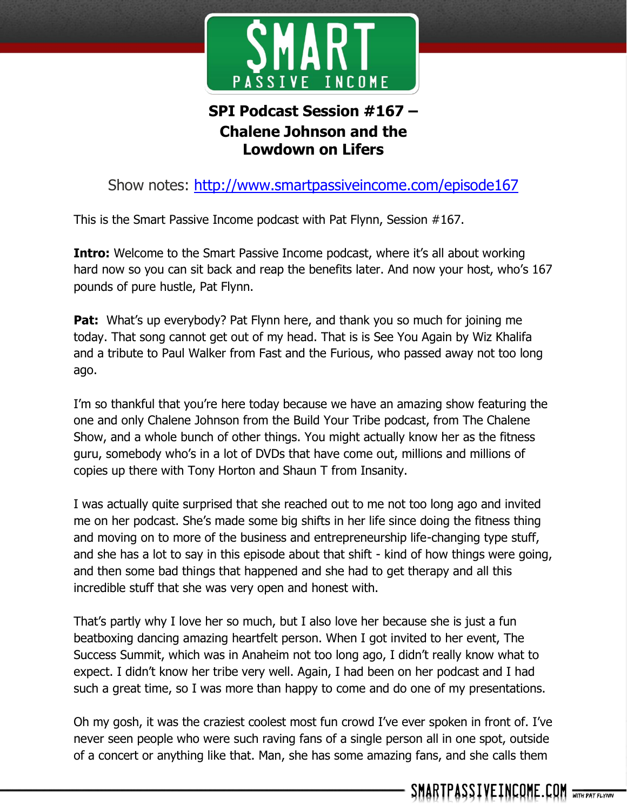

## **SPI Podcast Session #167 – Chalene Johnson and the Lowdown on Lifers**

Show notes:<http://www.smartpassiveincome.com/episode167>

This is the Smart Passive Income podcast with Pat Flynn, Session #167.

**Intro:** Welcome to the Smart Passive Income podcast, where it's all about working hard now so you can sit back and reap the benefits later. And now your host, who's 167 pounds of pure hustle, Pat Flynn.

**Pat:** What's up everybody? Pat Flynn here, and thank you so much for joining me today. That song cannot get out of my head. That is is See You Again by Wiz Khalifa and a tribute to Paul Walker from Fast and the Furious, who passed away not too long ago.

I'm so thankful that you're here today because we have an amazing show featuring the one and only Chalene Johnson from the Build Your Tribe podcast, from The Chalene Show, and a whole bunch of other things. You might actually know her as the fitness guru, somebody who's in a lot of DVDs that have come out, millions and millions of copies up there with Tony Horton and Shaun T from Insanity.

I was actually quite surprised that she reached out to me not too long ago and invited me on her podcast. She's made some big shifts in her life since doing the fitness thing and moving on to more of the business and entrepreneurship life-changing type stuff, and she has a lot to say in this episode about that shift - kind of how things were going, and then some bad things that happened and she had to get therapy and all this incredible stuff that she was very open and honest with.

That's partly why I love her so much, but I also love her because she is just a fun beatboxing dancing amazing heartfelt person. When I got invited to her event, The Success Summit, which was in Anaheim not too long ago, I didn't really know what to expect. I didn't know her tribe very well. Again, I had been on her podcast and I had such a great time, so I was more than happy to come and do one of my presentations.

Oh my gosh, it was the craziest coolest most fun crowd I've ever spoken in front of. I've never seen people who were such raving fans of a single person all in one spot, outside of a concert or anything like that. Man, she has some amazing fans, and she calls them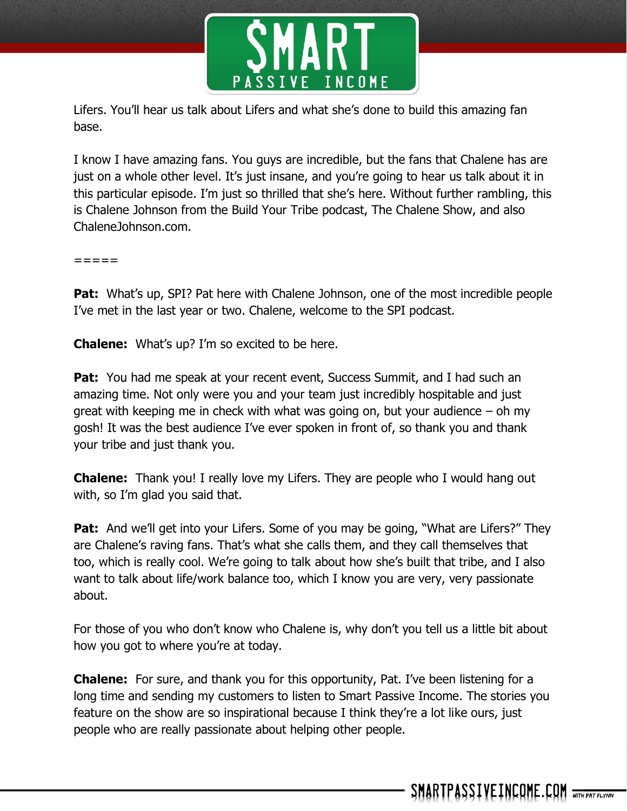

Lifers. You'll hear us talk about Lifers and what she's done to build this amazing fan base.

I know I have amazing fans. You guys are incredible, but the fans that Chalene has are just on a whole other level. It's just insane, and you're going to hear us talk about it in this particular episode. I'm just so thrilled that she's here. Without further rambling, this is Chalene Johnson from the Build Your Tribe podcast, The Chalene Show, and also ChaleneJohnson.com.

 $=$   $=$   $=$   $=$ 

**Pat:** What's up, SPI? Pat here with Chalene Johnson, one of the most incredible people I've met in the last year or two. Chalene, welcome to the SPI podcast.

**Chalene:** What's up? I'm so excited to be here.

**Pat:** You had me speak at your recent event, Success Summit, and I had such an amazing time. Not only were you and your team just incredibly hospitable and just great with keeping me in check with what was going on, but your audience  $-$  oh my gosh! It was the best audience I've ever spoken in front of, so thank you and thank your tribe and just thank you.

**Chalene:** Thank you! I really love my Lifers. They are people who I would hang out with, so I'm glad you said that.

**Pat:** And we'll get into your Lifers. Some of you may be going, "What are Lifers?" They are Chalene's raving fans. That's what she calls them, and they call themselves that too, which is really cool. We're going to talk about how she's built that tribe, and I also want to talk about life/work balance too, which I know you are very, very passionate about.

For those of you who don't know who Chalene is, why don't you tell us a little bit about how you got to where you're at today.

**Chalene:** For sure, and thank you for this opportunity, Pat. I've been listening for a long time and sending my customers to listen to Smart Passive Income. The stories you feature on the show are so inspirational because I think they're a lot like ours, just people who are really passionate about helping other people.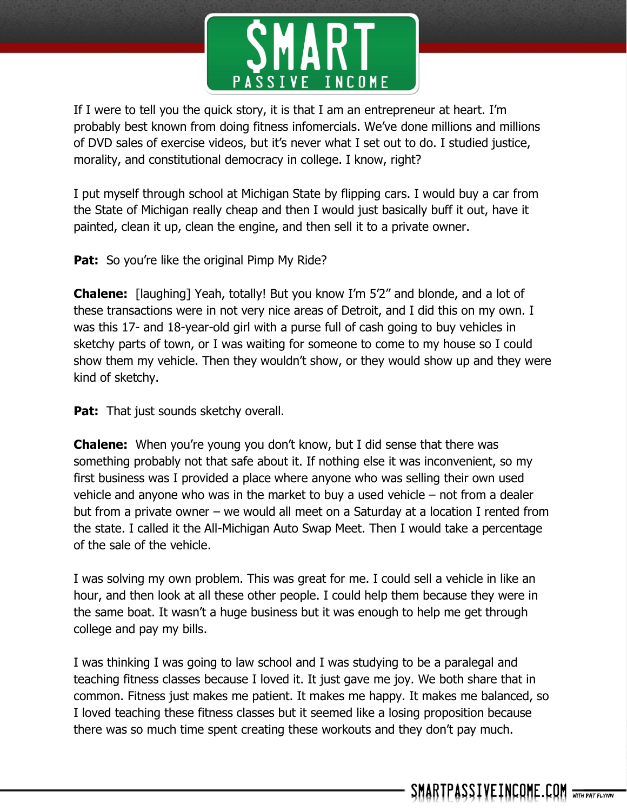

If I were to tell you the quick story, it is that I am an entrepreneur at heart. I'm probably best known from doing fitness infomercials. We've done millions and millions of DVD sales of exercise videos, but it's never what I set out to do. I studied justice, morality, and constitutional democracy in college. I know, right?

I put myself through school at Michigan State by flipping cars. I would buy a car from the State of Michigan really cheap and then I would just basically buff it out, have it painted, clean it up, clean the engine, and then sell it to a private owner.

**Pat:** So you're like the original Pimp My Ride?

**Chalene:** [laughing] Yeah, totally! But you know I'm 5'2" and blonde, and a lot of these transactions were in not very nice areas of Detroit, and I did this on my own. I was this 17- and 18-year-old girl with a purse full of cash going to buy vehicles in sketchy parts of town, or I was waiting for someone to come to my house so I could show them my vehicle. Then they wouldn't show, or they would show up and they were kind of sketchy.

**Pat:** That just sounds sketchy overall.

**Chalene:** When you're young you don't know, but I did sense that there was something probably not that safe about it. If nothing else it was inconvenient, so my first business was I provided a place where anyone who was selling their own used vehicle and anyone who was in the market to buy a used vehicle – not from a dealer but from a private owner – we would all meet on a Saturday at a location I rented from the state. I called it the All-Michigan Auto Swap Meet. Then I would take a percentage of the sale of the vehicle.

I was solving my own problem. This was great for me. I could sell a vehicle in like an hour, and then look at all these other people. I could help them because they were in the same boat. It wasn't a huge business but it was enough to help me get through college and pay my bills.

I was thinking I was going to law school and I was studying to be a paralegal and teaching fitness classes because I loved it. It just gave me joy. We both share that in common. Fitness just makes me patient. It makes me happy. It makes me balanced, so I loved teaching these fitness classes but it seemed like a losing proposition because there was so much time spent creating these workouts and they don't pay much.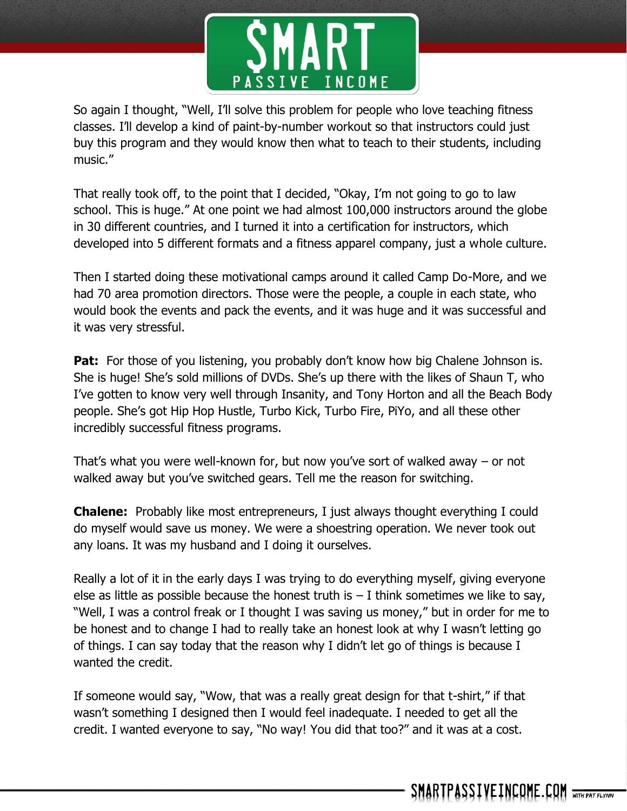

So again I thought, "Well, I'll solve this problem for people who love teaching fitness classes. I'll develop a kind of paint-by-number workout so that instructors could just buy this program and they would know then what to teach to their students, including music."

That really took off, to the point that I decided, "Okay, I'm not going to go to law school. This is huge." At one point we had almost 100,000 instructors around the globe in 30 different countries, and I turned it into a certification for instructors, which developed into 5 different formats and a fitness apparel company, just a whole culture.

Then I started doing these motivational camps around it called Camp Do-More, and we had 70 area promotion directors. Those were the people, a couple in each state, who would book the events and pack the events, and it was huge and it was successful and it was very stressful.

**Pat:** For those of you listening, you probably don't know how big Chalene Johnson is. She is huge! She's sold millions of DVDs. She's up there with the likes of Shaun T, who I've gotten to know very well through Insanity, and Tony Horton and all the Beach Body people. She's got Hip Hop Hustle, Turbo Kick, Turbo Fire, PiYo, and all these other incredibly successful fitness programs.

That's what you were well-known for, but now you've sort of walked away – or not walked away but you've switched gears. Tell me the reason for switching.

**Chalene:** Probably like most entrepreneurs, I just always thought everything I could do myself would save us money. We were a shoestring operation. We never took out any loans. It was my husband and I doing it ourselves.

Really a lot of it in the early days I was trying to do everything myself, giving everyone else as little as possible because the honest truth is  $-1$  think sometimes we like to say, "Well, I was a control freak or I thought I was saving us money," but in order for me to be honest and to change I had to really take an honest look at why I wasn't letting go of things. I can say today that the reason why I didn't let go of things is because I wanted the credit.

If someone would say, "Wow, that was a really great design for that t-shirt," if that wasn't something I designed then I would feel inadequate. I needed to get all the credit. I wanted everyone to say, "No way! You did that too?" and it was at a cost.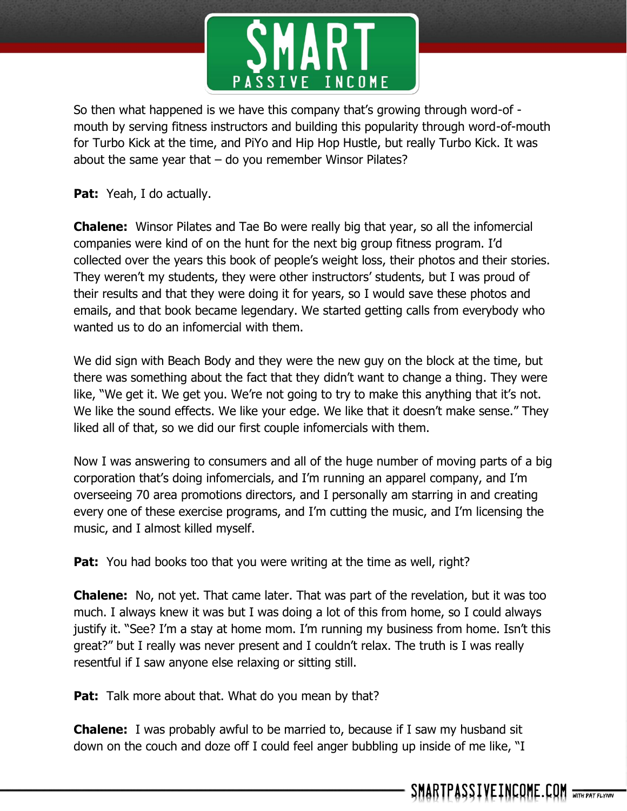

So then what happened is we have this company that's growing through word-of mouth by serving fitness instructors and building this popularity through word-of-mouth for Turbo Kick at the time, and PiYo and Hip Hop Hustle, but really Turbo Kick. It was about the same year that  $-$  do you remember Winsor Pilates?

**Pat:** Yeah, I do actually.

**Chalene:** Winsor Pilates and Tae Bo were really big that year, so all the infomercial companies were kind of on the hunt for the next big group fitness program. I'd collected over the years this book of people's weight loss, their photos and their stories. They weren't my students, they were other instructors' students, but I was proud of their results and that they were doing it for years, so I would save these photos and emails, and that book became legendary. We started getting calls from everybody who wanted us to do an infomercial with them.

We did sign with Beach Body and they were the new guy on the block at the time, but there was something about the fact that they didn't want to change a thing. They were like, "We get it. We get you. We're not going to try to make this anything that it's not. We like the sound effects. We like your edge. We like that it doesn't make sense." They liked all of that, so we did our first couple infomercials with them.

Now I was answering to consumers and all of the huge number of moving parts of a big corporation that's doing infomercials, and I'm running an apparel company, and I'm overseeing 70 area promotions directors, and I personally am starring in and creating every one of these exercise programs, and I'm cutting the music, and I'm licensing the music, and I almost killed myself.

Pat: You had books too that you were writing at the time as well, right?

**Chalene:** No, not yet. That came later. That was part of the revelation, but it was too much. I always knew it was but I was doing a lot of this from home, so I could always justify it. "See? I'm a stay at home mom. I'm running my business from home. Isn't this great?" but I really was never present and I couldn't relax. The truth is I was really resentful if I saw anyone else relaxing or sitting still.

Pat: Talk more about that. What do you mean by that?

**Chalene:** I was probably awful to be married to, because if I saw my husband sit down on the couch and doze off I could feel anger bubbling up inside of me like, "I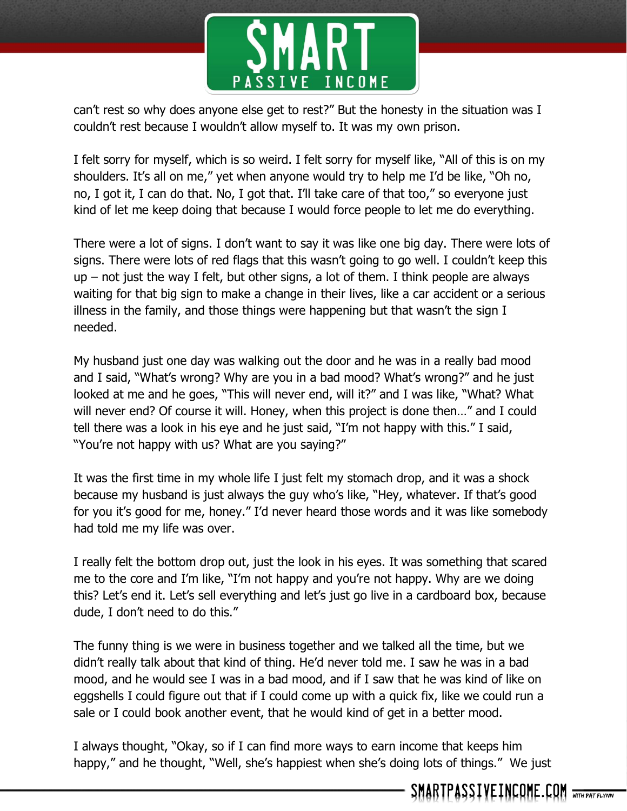

can't rest so why does anyone else get to rest?" But the honesty in the situation was I couldn't rest because I wouldn't allow myself to. It was my own prison.

I felt sorry for myself, which is so weird. I felt sorry for myself like, "All of this is on my shoulders. It's all on me," yet when anyone would try to help me I'd be like, "Oh no, no, I got it, I can do that. No, I got that. I'll take care of that too," so everyone just kind of let me keep doing that because I would force people to let me do everything.

There were a lot of signs. I don't want to say it was like one big day. There were lots of signs. There were lots of red flags that this wasn't going to go well. I couldn't keep this  $up$  – not just the way I felt, but other signs, a lot of them. I think people are always waiting for that big sign to make a change in their lives, like a car accident or a serious illness in the family, and those things were happening but that wasn't the sign I needed.

My husband just one day was walking out the door and he was in a really bad mood and I said, "What's wrong? Why are you in a bad mood? What's wrong?" and he just looked at me and he goes, "This will never end, will it?" and I was like, "What? What will never end? Of course it will. Honey, when this project is done then..." and I could tell there was a look in his eye and he just said, "I'm not happy with this." I said, "You're not happy with us? What are you saying?"

It was the first time in my whole life I just felt my stomach drop, and it was a shock because my husband is just always the guy who's like, "Hey, whatever. If that's good for you it's good for me, honey." I'd never heard those words and it was like somebody had told me my life was over.

I really felt the bottom drop out, just the look in his eyes. It was something that scared me to the core and I'm like, "I'm not happy and you're not happy. Why are we doing this? Let's end it. Let's sell everything and let's just go live in a cardboard box, because dude, I don't need to do this."

The funny thing is we were in business together and we talked all the time, but we didn't really talk about that kind of thing. He'd never told me. I saw he was in a bad mood, and he would see I was in a bad mood, and if I saw that he was kind of like on eggshells I could figure out that if I could come up with a quick fix, like we could run a sale or I could book another event, that he would kind of get in a better mood.

I always thought, "Okay, so if I can find more ways to earn income that keeps him happy," and he thought, "Well, she's happiest when she's doing lots of things." We just

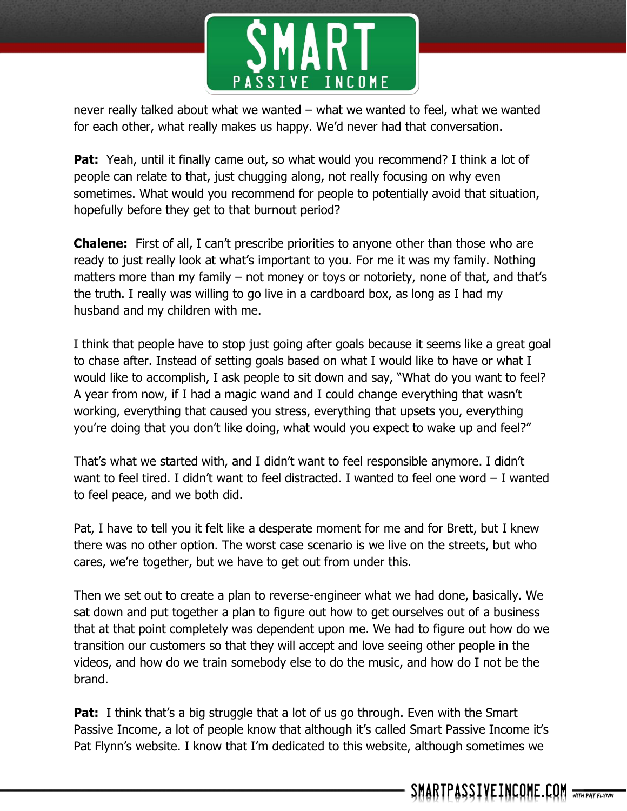

never really talked about what we wanted – what we wanted to feel, what we wanted for each other, what really makes us happy. We'd never had that conversation.

**Pat:** Yeah, until it finally came out, so what would you recommend? I think a lot of people can relate to that, just chugging along, not really focusing on why even sometimes. What would you recommend for people to potentially avoid that situation, hopefully before they get to that burnout period?

**Chalene:** First of all, I can't prescribe priorities to anyone other than those who are ready to just really look at what's important to you. For me it was my family. Nothing matters more than my family – not money or toys or notoriety, none of that, and that's the truth. I really was willing to go live in a cardboard box, as long as I had my husband and my children with me.

I think that people have to stop just going after goals because it seems like a great goal to chase after. Instead of setting goals based on what I would like to have or what I would like to accomplish, I ask people to sit down and say, "What do you want to feel? A year from now, if I had a magic wand and I could change everything that wasn't working, everything that caused you stress, everything that upsets you, everything you're doing that you don't like doing, what would you expect to wake up and feel?"

That's what we started with, and I didn't want to feel responsible anymore. I didn't want to feel tired. I didn't want to feel distracted. I wanted to feel one word – I wanted to feel peace, and we both did.

Pat, I have to tell you it felt like a desperate moment for me and for Brett, but I knew there was no other option. The worst case scenario is we live on the streets, but who cares, we're together, but we have to get out from under this.

Then we set out to create a plan to reverse-engineer what we had done, basically. We sat down and put together a plan to figure out how to get ourselves out of a business that at that point completely was dependent upon me. We had to figure out how do we transition our customers so that they will accept and love seeing other people in the videos, and how do we train somebody else to do the music, and how do I not be the brand.

**Pat:** I think that's a big struggle that a lot of us go through. Even with the Smart Passive Income, a lot of people know that although it's called Smart Passive Income it's Pat Flynn's website. I know that I'm dedicated to this website, although sometimes we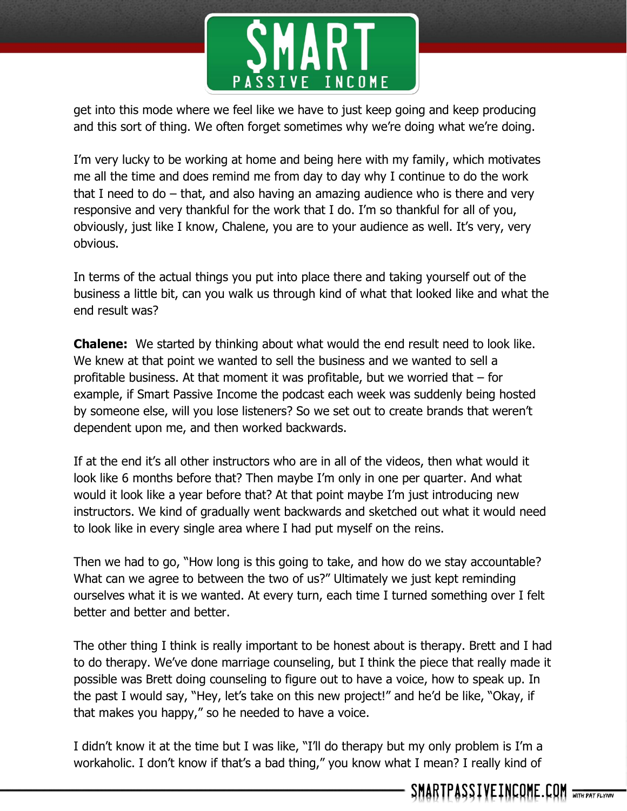

get into this mode where we feel like we have to just keep going and keep producing and this sort of thing. We often forget sometimes why we're doing what we're doing.

I'm very lucky to be working at home and being here with my family, which motivates me all the time and does remind me from day to day why I continue to do the work that I need to do – that, and also having an amazing audience who is there and very responsive and very thankful for the work that I do. I'm so thankful for all of you, obviously, just like I know, Chalene, you are to your audience as well. It's very, very obvious.

In terms of the actual things you put into place there and taking yourself out of the business a little bit, can you walk us through kind of what that looked like and what the end result was?

**Chalene:** We started by thinking about what would the end result need to look like. We knew at that point we wanted to sell the business and we wanted to sell a profitable business. At that moment it was profitable, but we worried that  $-$  for example, if Smart Passive Income the podcast each week was suddenly being hosted by someone else, will you lose listeners? So we set out to create brands that weren't dependent upon me, and then worked backwards.

If at the end it's all other instructors who are in all of the videos, then what would it look like 6 months before that? Then maybe I'm only in one per quarter. And what would it look like a year before that? At that point maybe I'm just introducing new instructors. We kind of gradually went backwards and sketched out what it would need to look like in every single area where I had put myself on the reins.

Then we had to go, "How long is this going to take, and how do we stay accountable? What can we agree to between the two of us?" Ultimately we just kept reminding ourselves what it is we wanted. At every turn, each time I turned something over I felt better and better and better.

The other thing I think is really important to be honest about is therapy. Brett and I had to do therapy. We've done marriage counseling, but I think the piece that really made it possible was Brett doing counseling to figure out to have a voice, how to speak up. In the past I would say, "Hey, let's take on this new project!" and he'd be like, "Okay, if that makes you happy," so he needed to have a voice.

I didn't know it at the time but I was like, "I'll do therapy but my only problem is I'm a workaholic. I don't know if that's a bad thing," you know what I mean? I really kind of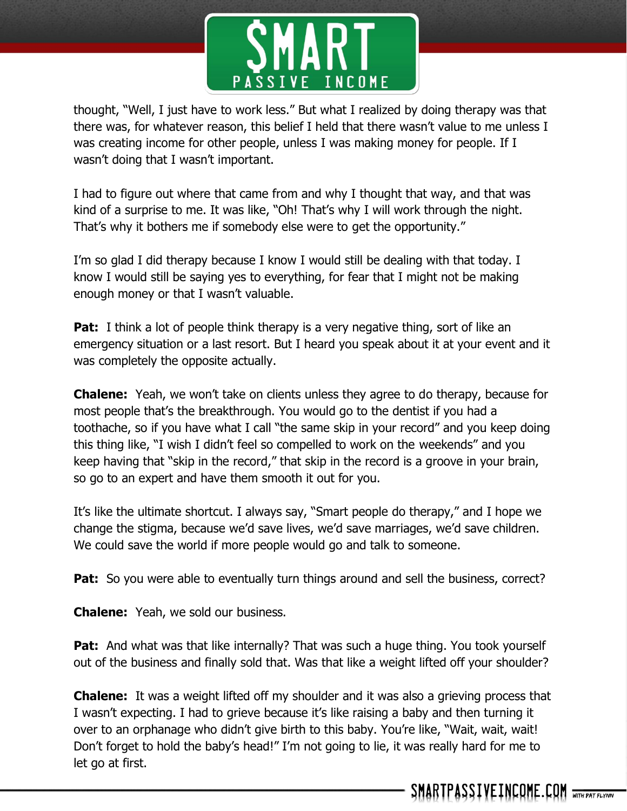

thought, "Well, I just have to work less." But what I realized by doing therapy was that there was, for whatever reason, this belief I held that there wasn't value to me unless I was creating income for other people, unless I was making money for people. If I wasn't doing that I wasn't important.

I had to figure out where that came from and why I thought that way, and that was kind of a surprise to me. It was like, "Oh! That's why I will work through the night. That's why it bothers me if somebody else were to get the opportunity."

I'm so glad I did therapy because I know I would still be dealing with that today. I know I would still be saying yes to everything, for fear that I might not be making enough money or that I wasn't valuable.

**Pat:** I think a lot of people think therapy is a very negative thing, sort of like an emergency situation or a last resort. But I heard you speak about it at your event and it was completely the opposite actually.

**Chalene:** Yeah, we won't take on clients unless they agree to do therapy, because for most people that's the breakthrough. You would go to the dentist if you had a toothache, so if you have what I call "the same skip in your record" and you keep doing this thing like, "I wish I didn't feel so compelled to work on the weekends" and you keep having that "skip in the record," that skip in the record is a groove in your brain, so go to an expert and have them smooth it out for you.

It's like the ultimate shortcut. I always say, "Smart people do therapy," and I hope we change the stigma, because we'd save lives, we'd save marriages, we'd save children. We could save the world if more people would go and talk to someone.

**Pat:** So you were able to eventually turn things around and sell the business, correct?

**Chalene:** Yeah, we sold our business.

**Pat:** And what was that like internally? That was such a huge thing. You took yourself out of the business and finally sold that. Was that like a weight lifted off your shoulder?

**Chalene:** It was a weight lifted off my shoulder and it was also a grieving process that I wasn't expecting. I had to grieve because it's like raising a baby and then turning it over to an orphanage who didn't give birth to this baby. You're like, "Wait, wait, wait! Don't forget to hold the baby's head!" I'm not going to lie, it was really hard for me to let go at first.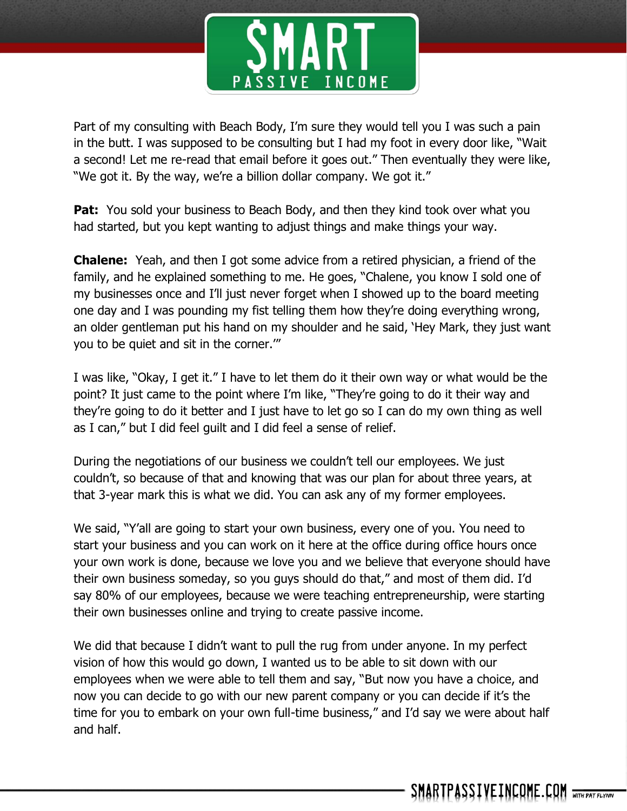

Part of my consulting with Beach Body, I'm sure they would tell you I was such a pain in the butt. I was supposed to be consulting but I had my foot in every door like, "Wait a second! Let me re-read that email before it goes out." Then eventually they were like, "We got it. By the way, we're a billion dollar company. We got it."

**Pat:** You sold your business to Beach Body, and then they kind took over what you had started, but you kept wanting to adjust things and make things your way.

**Chalene:** Yeah, and then I got some advice from a retired physician, a friend of the family, and he explained something to me. He goes, "Chalene, you know I sold one of my businesses once and I'll just never forget when I showed up to the board meeting one day and I was pounding my fist telling them how they're doing everything wrong, an older gentleman put his hand on my shoulder and he said, 'Hey Mark, they just want you to be quiet and sit in the corner.'"

I was like, "Okay, I get it." I have to let them do it their own way or what would be the point? It just came to the point where I'm like, "They're going to do it their way and they're going to do it better and I just have to let go so I can do my own thing as well as I can," but I did feel guilt and I did feel a sense of relief.

During the negotiations of our business we couldn't tell our employees. We just couldn't, so because of that and knowing that was our plan for about three years, at that 3-year mark this is what we did. You can ask any of my former employees.

We said, "Y'all are going to start your own business, every one of you. You need to start your business and you can work on it here at the office during office hours once your own work is done, because we love you and we believe that everyone should have their own business someday, so you guys should do that," and most of them did. I'd say 80% of our employees, because we were teaching entrepreneurship, were starting their own businesses online and trying to create passive income.

We did that because I didn't want to pull the rug from under anyone. In my perfect vision of how this would go down, I wanted us to be able to sit down with our employees when we were able to tell them and say, "But now you have a choice, and now you can decide to go with our new parent company or you can decide if it's the time for you to embark on your own full-time business," and I'd say we were about half and half.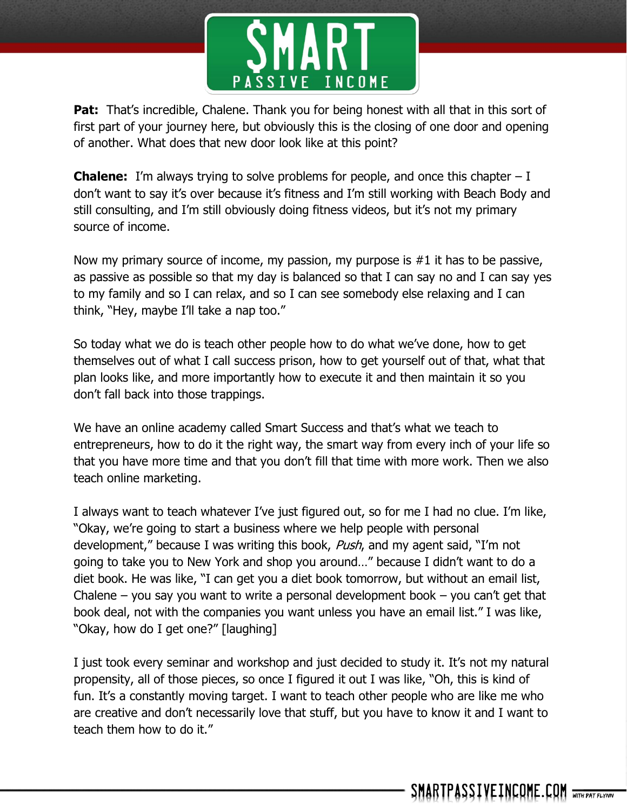

**Pat:** That's incredible, Chalene. Thank you for being honest with all that in this sort of first part of your journey here, but obviously this is the closing of one door and opening of another. What does that new door look like at this point?

**Chalene:** I'm always trying to solve problems for people, and once this chapter – I don't want to say it's over because it's fitness and I'm still working with Beach Body and still consulting, and I'm still obviously doing fitness videos, but it's not my primary source of income.

Now my primary source of income, my passion, my purpose is #1 it has to be passive, as passive as possible so that my day is balanced so that I can say no and I can say yes to my family and so I can relax, and so I can see somebody else relaxing and I can think, "Hey, maybe I'll take a nap too."

So today what we do is teach other people how to do what we've done, how to get themselves out of what I call success prison, how to get yourself out of that, what that plan looks like, and more importantly how to execute it and then maintain it so you don't fall back into those trappings.

We have an online academy called Smart Success and that's what we teach to entrepreneurs, how to do it the right way, the smart way from every inch of your life so that you have more time and that you don't fill that time with more work. Then we also teach online marketing.

I always want to teach whatever I've just figured out, so for me I had no clue. I'm like, "Okay, we're going to start a business where we help people with personal development," because I was writing this book, Push, and my agent said, "I'm not going to take you to New York and shop you around…" because I didn't want to do a diet book. He was like, "I can get you a diet book tomorrow, but without an email list, Chalene – you say you want to write a personal development book – you can't get that book deal, not with the companies you want unless you have an email list." I was like, "Okay, how do I get one?" [laughing]

I just took every seminar and workshop and just decided to study it. It's not my natural propensity, all of those pieces, so once I figured it out I was like, "Oh, this is kind of fun. It's a constantly moving target. I want to teach other people who are like me who are creative and don't necessarily love that stuff, but you have to know it and I want to teach them how to do it."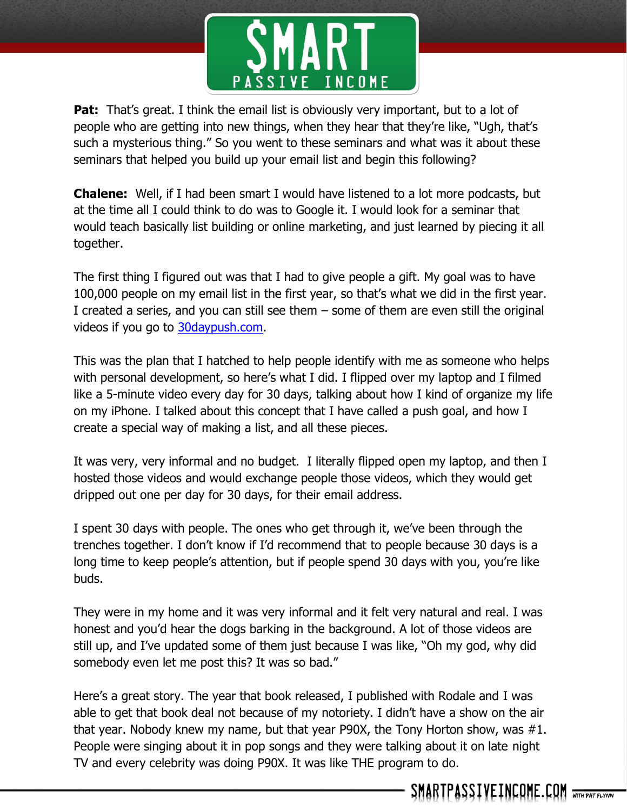

**Pat:** That's great. I think the email list is obviously very important, but to a lot of people who are getting into new things, when they hear that they're like, "Ugh, that's such a mysterious thing." So you went to these seminars and what was it about these seminars that helped you build up your email list and begin this following?

**Chalene:** Well, if I had been smart I would have listened to a lot more podcasts, but at the time all I could think to do was to Google it. I would look for a seminar that would teach basically list building or online marketing, and just learned by piecing it all together.

The first thing I figured out was that I had to give people a gift. My goal was to have 100,000 people on my email list in the first year, so that's what we did in the first year. I created a series, and you can still see them – some of them are even still the original videos if you go to [30daypush.com.](http://www.30daypush.com/)

This was the plan that I hatched to help people identify with me as someone who helps with personal development, so here's what I did. I flipped over my laptop and I filmed like a 5-minute video every day for 30 days, talking about how I kind of organize my life on my iPhone. I talked about this concept that I have called a push goal, and how I create a special way of making a list, and all these pieces.

It was very, very informal and no budget. I literally flipped open my laptop, and then I hosted those videos and would exchange people those videos, which they would get dripped out one per day for 30 days, for their email address.

I spent 30 days with people. The ones who get through it, we've been through the trenches together. I don't know if I'd recommend that to people because 30 days is a long time to keep people's attention, but if people spend 30 days with you, you're like buds.

They were in my home and it was very informal and it felt very natural and real. I was honest and you'd hear the dogs barking in the background. A lot of those videos are still up, and I've updated some of them just because I was like, "Oh my god, why did somebody even let me post this? It was so bad."

Here's a great story. The year that book released, I published with Rodale and I was able to get that book deal not because of my notoriety. I didn't have a show on the air that year. Nobody knew my name, but that year P90X, the Tony Horton show, was #1. People were singing about it in pop songs and they were talking about it on late night TV and every celebrity was doing P90X. It was like THE program to do.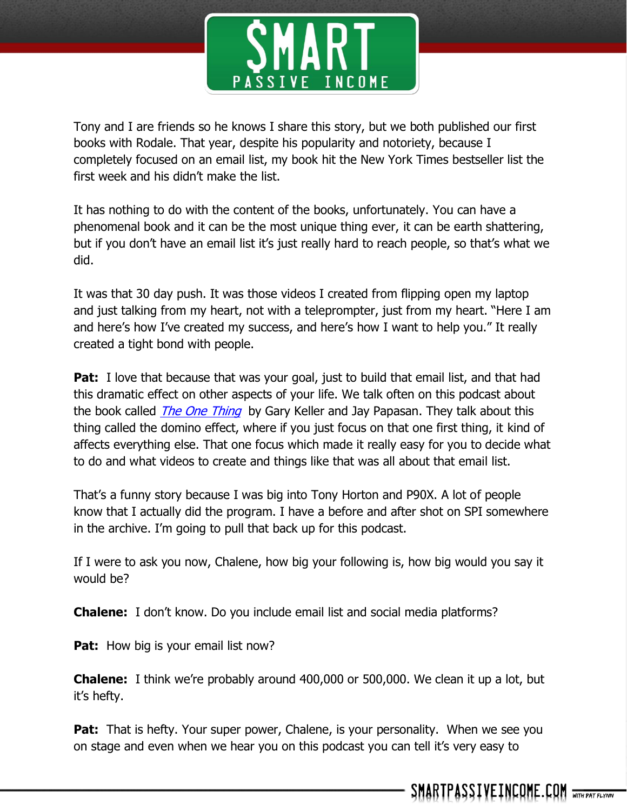

Tony and I are friends so he knows I share this story, but we both published our first books with Rodale. That year, despite his popularity and notoriety, because I completely focused on an email list, my book hit the New York Times bestseller list the first week and his didn't make the list.

It has nothing to do with the content of the books, unfortunately. You can have a phenomenal book and it can be the most unique thing ever, it can be earth shattering, but if you don't have an email list it's just really hard to reach people, so that's what we did.

It was that 30 day push. It was those videos I created from flipping open my laptop and just talking from my heart, not with a teleprompter, just from my heart. "Here I am and here's how I've created my success, and here's how I want to help you." It really created a tight bond with people.

**Pat:** I love that because that was your goal, just to build that email list, and that had this dramatic effect on other aspects of your life. We talk often on this podcast about the book called *[The One Thing](http://www.smartpassiveincome.com/one-thing)* by Gary Keller and Jay Papasan. They talk about this thing called the domino effect, where if you just focus on that one first thing, it kind of affects everything else. That one focus which made it really easy for you to decide what to do and what videos to create and things like that was all about that email list.

That's a funny story because I was big into Tony Horton and P90X. A lot of people know that I actually did the program. I have a before and after shot on SPI somewhere in the archive. I'm going to pull that back up for this podcast.

If I were to ask you now, Chalene, how big your following is, how big would you say it would be?

**Chalene:** I don't know. Do you include email list and social media platforms?

Pat: How big is your email list now?

**Chalene:** I think we're probably around 400,000 or 500,000. We clean it up a lot, but it's hefty.

**Pat:** That is hefty. Your super power, Chalene, is your personality. When we see you on stage and even when we hear you on this podcast you can tell it's very easy to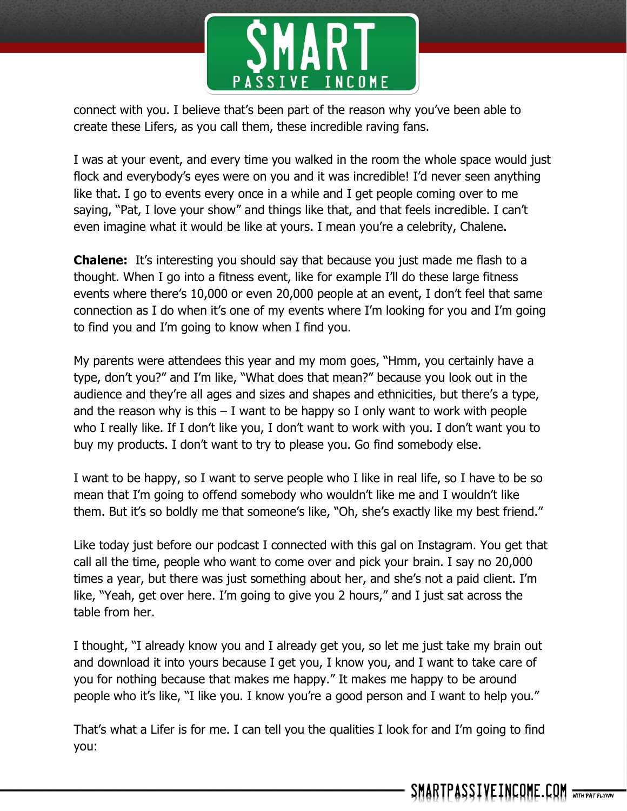

connect with you. I believe that's been part of the reason why you've been able to create these Lifers, as you call them, these incredible raving fans.

I was at your event, and every time you walked in the room the whole space would just flock and everybody's eyes were on you and it was incredible! I'd never seen anything like that. I go to events every once in a while and I get people coming over to me saying, "Pat, I love your show" and things like that, and that feels incredible. I can't even imagine what it would be like at yours. I mean you're a celebrity, Chalene.

**Chalene:** It's interesting you should say that because you just made me flash to a thought. When I go into a fitness event, like for example I'll do these large fitness events where there's 10,000 or even 20,000 people at an event, I don't feel that same connection as I do when it's one of my events where I'm looking for you and I'm going to find you and I'm going to know when I find you.

My parents were attendees this year and my mom goes, "Hmm, you certainly have a type, don't you?" and I'm like, "What does that mean?" because you look out in the audience and they're all ages and sizes and shapes and ethnicities, but there's a type, and the reason why is this  $-1$  want to be happy so I only want to work with people who I really like. If I don't like you, I don't want to work with you. I don't want you to buy my products. I don't want to try to please you. Go find somebody else.

I want to be happy, so I want to serve people who I like in real life, so I have to be so mean that I'm going to offend somebody who wouldn't like me and I wouldn't like them. But it's so boldly me that someone's like, "Oh, she's exactly like my best friend."

Like today just before our podcast I connected with this gal on Instagram. You get that call all the time, people who want to come over and pick your brain. I say no 20,000 times a year, but there was just something about her, and she's not a paid client. I'm like, "Yeah, get over here. I'm going to give you 2 hours," and I just sat across the table from her.

I thought, "I already know you and I already get you, so let me just take my brain out and download it into yours because I get you, I know you, and I want to take care of you for nothing because that makes me happy." It makes me happy to be around people who it's like, "I like you. I know you're a good person and I want to help you."

That's what a Lifer is for me. I can tell you the qualities I look for and I'm going to find you: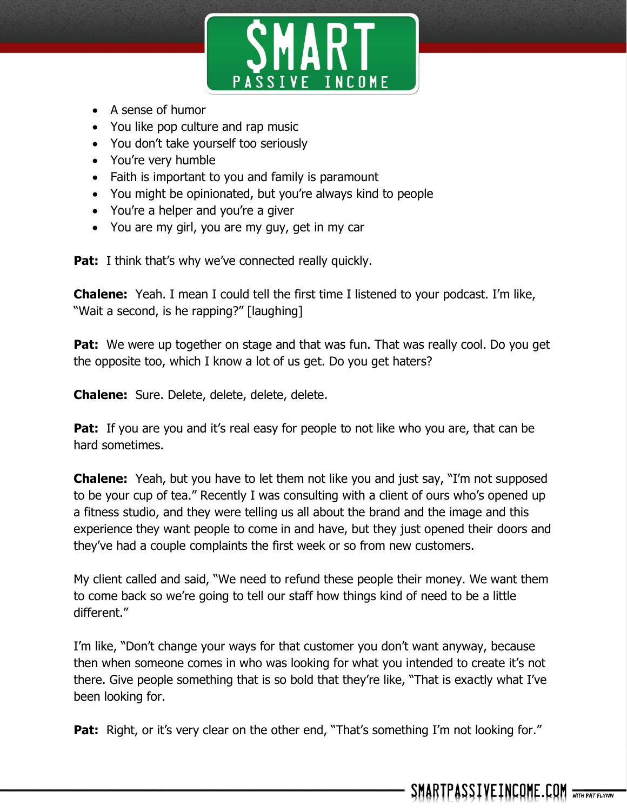

- A sense of humor
- You like pop culture and rap music
- You don't take yourself too seriously
- You're very humble
- Faith is important to you and family is paramount
- You might be opinionated, but you're always kind to people
- You're a helper and you're a giver
- You are my girl, you are my guy, get in my car

**Pat:** I think that's why we've connected really quickly.

**Chalene:** Yeah. I mean I could tell the first time I listened to your podcast. I'm like, "Wait a second, is he rapping?" [laughing]

**Pat:** We were up together on stage and that was fun. That was really cool. Do you get the opposite too, which I know a lot of us get. Do you get haters?

**Chalene:** Sure. Delete, delete, delete, delete.

**Pat:** If you are you and it's real easy for people to not like who you are, that can be hard sometimes.

**Chalene:** Yeah, but you have to let them not like you and just say, "I'm not supposed to be your cup of tea." Recently I was consulting with a client of ours who's opened up a fitness studio, and they were telling us all about the brand and the image and this experience they want people to come in and have, but they just opened their doors and they've had a couple complaints the first week or so from new customers.

My client called and said, "We need to refund these people their money. We want them to come back so we're going to tell our staff how things kind of need to be a little different."

I'm like, "Don't change your ways for that customer you don't want anyway, because then when someone comes in who was looking for what you intended to create it's not there. Give people something that is so bold that they're like, "That is exactly what I've been looking for.

**Pat:** Right, or it's very clear on the other end, "That's something I'm not looking for."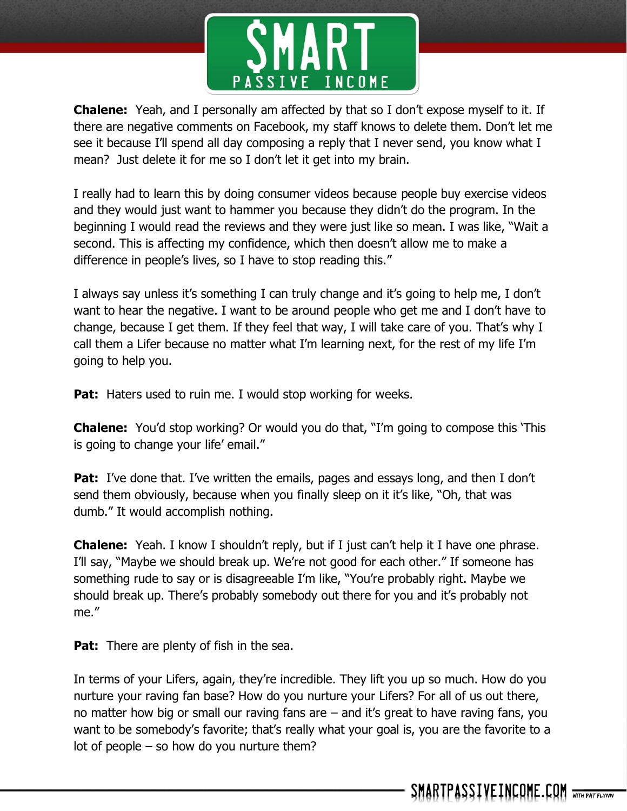

**Chalene:** Yeah, and I personally am affected by that so I don't expose myself to it. If there are negative comments on Facebook, my staff knows to delete them. Don't let me see it because I'll spend all day composing a reply that I never send, you know what I mean? Just delete it for me so I don't let it get into my brain.

I really had to learn this by doing consumer videos because people buy exercise videos and they would just want to hammer you because they didn't do the program. In the beginning I would read the reviews and they were just like so mean. I was like, "Wait a second. This is affecting my confidence, which then doesn't allow me to make a difference in people's lives, so I have to stop reading this."

I always say unless it's something I can truly change and it's going to help me, I don't want to hear the negative. I want to be around people who get me and I don't have to change, because I get them. If they feel that way, I will take care of you. That's why I call them a Lifer because no matter what I'm learning next, for the rest of my life I'm going to help you.

**Pat:** Haters used to ruin me. I would stop working for weeks.

**Chalene:** You'd stop working? Or would you do that, "I'm going to compose this 'This is going to change your life' email."

**Pat:** I've done that. I've written the emails, pages and essays long, and then I don't send them obviously, because when you finally sleep on it it's like, "Oh, that was dumb." It would accomplish nothing.

**Chalene:** Yeah. I know I shouldn't reply, but if I just can't help it I have one phrase. I'll say, "Maybe we should break up. We're not good for each other." If someone has something rude to say or is disagreeable I'm like, "You're probably right. Maybe we should break up. There's probably somebody out there for you and it's probably not me."

**Pat:** There are plenty of fish in the sea.

In terms of your Lifers, again, they're incredible. They lift you up so much. How do you nurture your raving fan base? How do you nurture your Lifers? For all of us out there, no matter how big or small our raving fans are – and it's great to have raving fans, you want to be somebody's favorite; that's really what your goal is, you are the favorite to a lot of people – so how do you nurture them?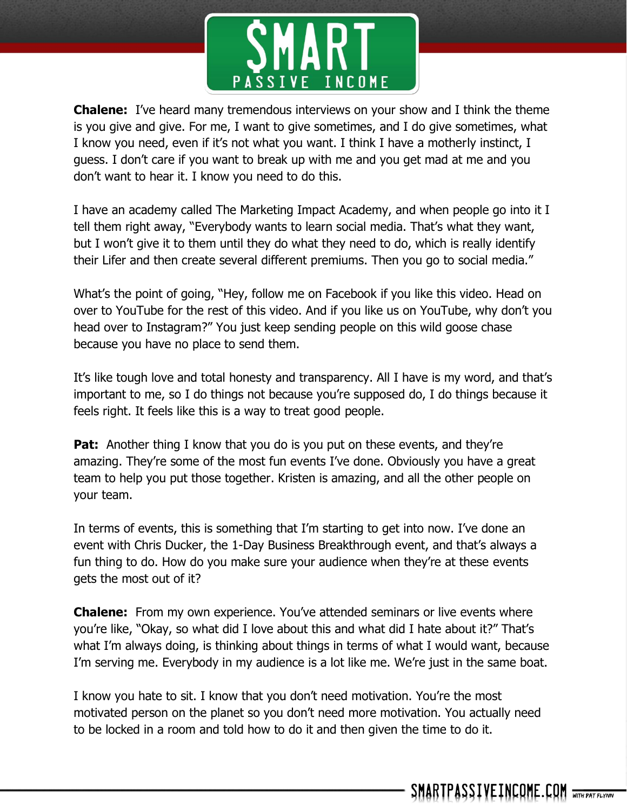

**Chalene:** I've heard many tremendous interviews on your show and I think the theme is you give and give. For me, I want to give sometimes, and I do give sometimes, what I know you need, even if it's not what you want. I think I have a motherly instinct, I guess. I don't care if you want to break up with me and you get mad at me and you don't want to hear it. I know you need to do this.

I have an academy called The Marketing Impact Academy, and when people go into it I tell them right away, "Everybody wants to learn social media. That's what they want, but I won't give it to them until they do what they need to do, which is really identify their Lifer and then create several different premiums. Then you go to social media."

What's the point of going, "Hey, follow me on Facebook if you like this video. Head on over to YouTube for the rest of this video. And if you like us on YouTube, why don't you head over to Instagram?" You just keep sending people on this wild goose chase because you have no place to send them.

It's like tough love and total honesty and transparency. All I have is my word, and that's important to me, so I do things not because you're supposed do, I do things because it feels right. It feels like this is a way to treat good people.

**Pat:** Another thing I know that you do is you put on these events, and they're amazing. They're some of the most fun events I've done. Obviously you have a great team to help you put those together. Kristen is amazing, and all the other people on your team.

In terms of events, this is something that I'm starting to get into now. I've done an event with Chris Ducker, the 1-Day Business Breakthrough event, and that's always a fun thing to do. How do you make sure your audience when they're at these events gets the most out of it?

**Chalene:** From my own experience. You've attended seminars or live events where you're like, "Okay, so what did I love about this and what did I hate about it?" That's what I'm always doing, is thinking about things in terms of what I would want, because I'm serving me. Everybody in my audience is a lot like me. We're just in the same boat.

I know you hate to sit. I know that you don't need motivation. You're the most motivated person on the planet so you don't need more motivation. You actually need to be locked in a room and told how to do it and then given the time to do it.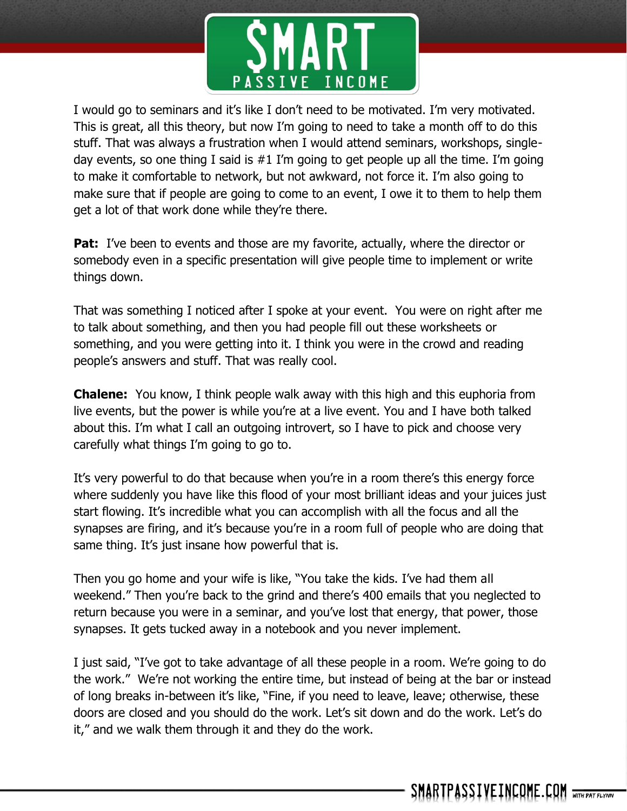

I would go to seminars and it's like I don't need to be motivated. I'm very motivated. This is great, all this theory, but now I'm going to need to take a month off to do this stuff. That was always a frustration when I would attend seminars, workshops, singleday events, so one thing I said is  $#1$  I'm going to get people up all the time. I'm going to make it comfortable to network, but not awkward, not force it. I'm also going to make sure that if people are going to come to an event, I owe it to them to help them get a lot of that work done while they're there.

**Pat:** I've been to events and those are my favorite, actually, where the director or somebody even in a specific presentation will give people time to implement or write things down.

That was something I noticed after I spoke at your event. You were on right after me to talk about something, and then you had people fill out these worksheets or something, and you were getting into it. I think you were in the crowd and reading people's answers and stuff. That was really cool.

**Chalene:** You know, I think people walk away with this high and this euphoria from live events, but the power is while you're at a live event. You and I have both talked about this. I'm what I call an outgoing introvert, so I have to pick and choose very carefully what things I'm going to go to.

It's very powerful to do that because when you're in a room there's this energy force where suddenly you have like this flood of your most brilliant ideas and your juices just start flowing. It's incredible what you can accomplish with all the focus and all the synapses are firing, and it's because you're in a room full of people who are doing that same thing. It's just insane how powerful that is.

Then you go home and your wife is like, "You take the kids. I've had them all weekend." Then you're back to the grind and there's 400 emails that you neglected to return because you were in a seminar, and you've lost that energy, that power, those synapses. It gets tucked away in a notebook and you never implement.

I just said, "I've got to take advantage of all these people in a room. We're going to do the work." We're not working the entire time, but instead of being at the bar or instead of long breaks in-between it's like, "Fine, if you need to leave, leave; otherwise, these doors are closed and you should do the work. Let's sit down and do the work. Let's do it," and we walk them through it and they do the work.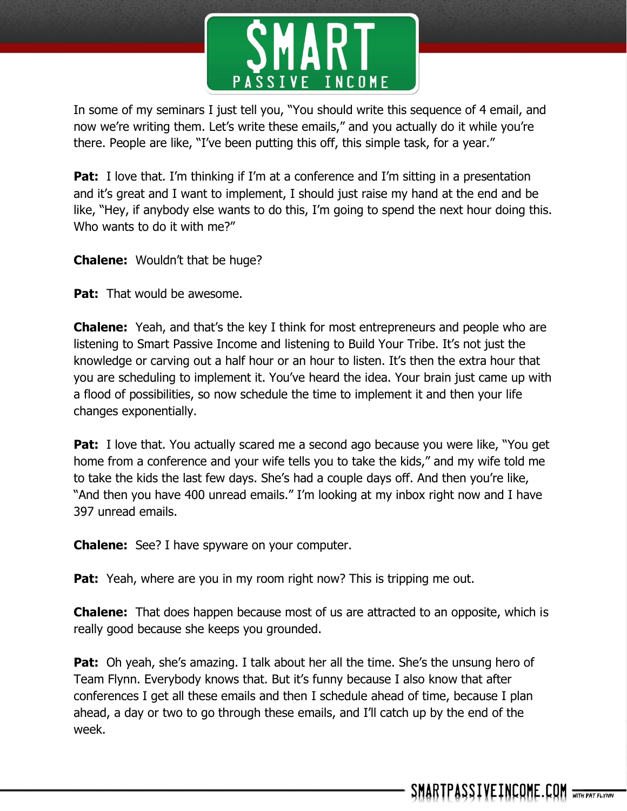

In some of my seminars I just tell you, "You should write this sequence of 4 email, and now we're writing them. Let's write these emails," and you actually do it while you're there. People are like, "I've been putting this off, this simple task, for a year."

**Pat:** I love that. I'm thinking if I'm at a conference and I'm sitting in a presentation and it's great and I want to implement, I should just raise my hand at the end and be like, "Hey, if anybody else wants to do this, I'm going to spend the next hour doing this. Who wants to do it with me?"

**Chalene:** Wouldn't that be huge?

**Pat:** That would be awesome.

**Chalene:** Yeah, and that's the key I think for most entrepreneurs and people who are listening to Smart Passive Income and listening to Build Your Tribe. It's not just the knowledge or carving out a half hour or an hour to listen. It's then the extra hour that you are scheduling to implement it. You've heard the idea. Your brain just came up with a flood of possibilities, so now schedule the time to implement it and then your life changes exponentially.

**Pat:** I love that. You actually scared me a second ago because you were like, "You get home from a conference and your wife tells you to take the kids," and my wife told me to take the kids the last few days. She's had a couple days off. And then you're like, "And then you have 400 unread emails." I'm looking at my inbox right now and I have 397 unread emails.

**Chalene:** See? I have spyware on your computer.

**Pat:** Yeah, where are you in my room right now? This is tripping me out.

**Chalene:** That does happen because most of us are attracted to an opposite, which is really good because she keeps you grounded.

**Pat:** Oh yeah, she's amazing. I talk about her all the time. She's the unsung hero of Team Flynn. Everybody knows that. But it's funny because I also know that after conferences I get all these emails and then I schedule ahead of time, because I plan ahead, a day or two to go through these emails, and I'll catch up by the end of the week.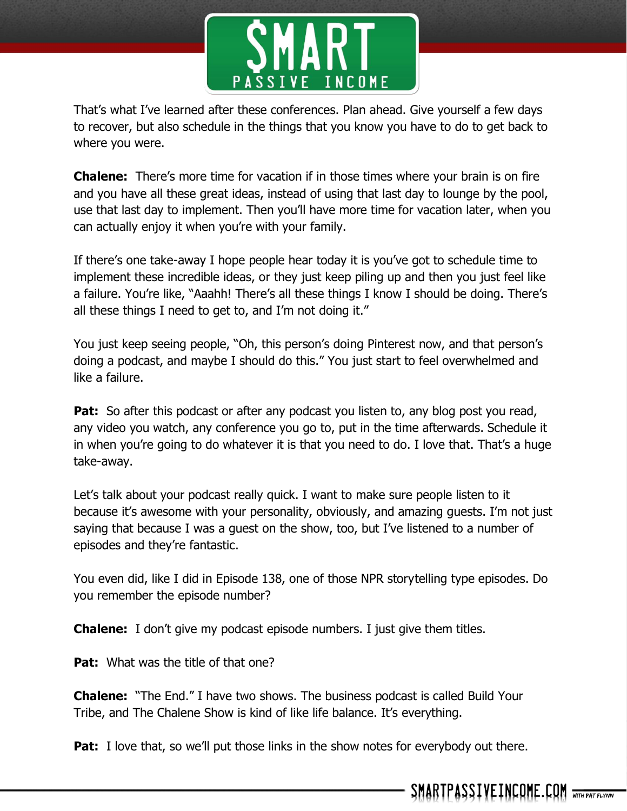

That's what I've learned after these conferences. Plan ahead. Give yourself a few days to recover, but also schedule in the things that you know you have to do to get back to where you were.

**Chalene:** There's more time for vacation if in those times where your brain is on fire and you have all these great ideas, instead of using that last day to lounge by the pool, use that last day to implement. Then you'll have more time for vacation later, when you can actually enjoy it when you're with your family.

If there's one take-away I hope people hear today it is you've got to schedule time to implement these incredible ideas, or they just keep piling up and then you just feel like a failure. You're like, "Aaahh! There's all these things I know I should be doing. There's all these things I need to get to, and I'm not doing it."

You just keep seeing people, "Oh, this person's doing Pinterest now, and that person's doing a podcast, and maybe I should do this." You just start to feel overwhelmed and like a failure.

**Pat:** So after this podcast or after any podcast you listen to, any blog post you read, any video you watch, any conference you go to, put in the time afterwards. Schedule it in when you're going to do whatever it is that you need to do. I love that. That's a huge take-away.

Let's talk about your podcast really quick. I want to make sure people listen to it because it's awesome with your personality, obviously, and amazing guests. I'm not just saying that because I was a guest on the show, too, but I've listened to a number of episodes and they're fantastic.

You even did, like I did in Episode 138, one of those NPR storytelling type episodes. Do you remember the episode number?

**Chalene:** I don't give my podcast episode numbers. I just give them titles.

**Pat:** What was the title of that one?

**Chalene:** "The End." I have two shows. The business podcast is called Build Your Tribe, and The Chalene Show is kind of like life balance. It's everything.

**Pat:** I love that, so we'll put those links in the show notes for everybody out there.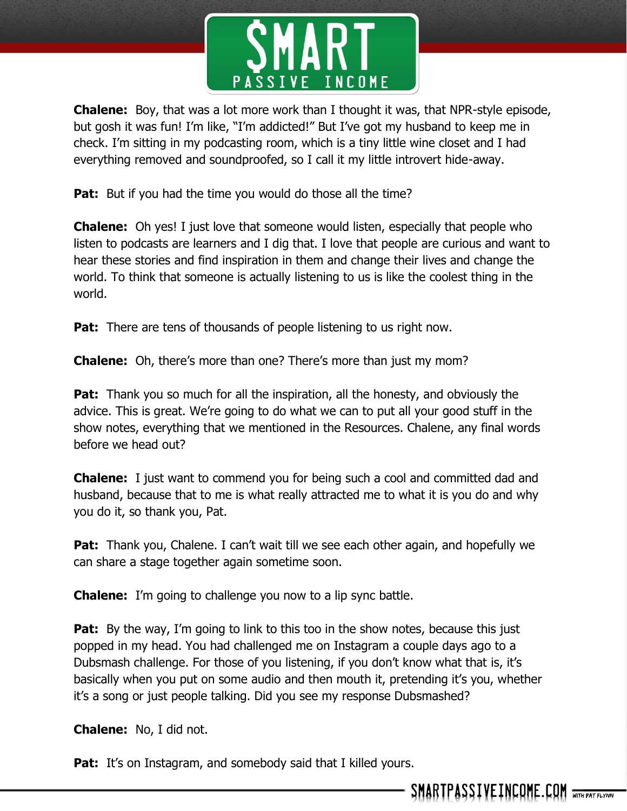

**Chalene:** Boy, that was a lot more work than I thought it was, that NPR-style episode, but gosh it was fun! I'm like, "I'm addicted!" But I've got my husband to keep me in check. I'm sitting in my podcasting room, which is a tiny little wine closet and I had everything removed and soundproofed, so I call it my little introvert hide-away.

**Pat:** But if you had the time you would do those all the time?

**Chalene:** Oh yes! I just love that someone would listen, especially that people who listen to podcasts are learners and I dig that. I love that people are curious and want to hear these stories and find inspiration in them and change their lives and change the world. To think that someone is actually listening to us is like the coolest thing in the world.

**Pat:** There are tens of thousands of people listening to us right now.

**Chalene:** Oh, there's more than one? There's more than just my mom?

**Pat:** Thank you so much for all the inspiration, all the honesty, and obviously the advice. This is great. We're going to do what we can to put all your good stuff in the show notes, everything that we mentioned in the Resources. Chalene, any final words before we head out?

**Chalene:** I just want to commend you for being such a cool and committed dad and husband, because that to me is what really attracted me to what it is you do and why you do it, so thank you, Pat.

**Pat:** Thank you, Chalene. I can't wait till we see each other again, and hopefully we can share a stage together again sometime soon.

**Chalene:** I'm going to challenge you now to a lip sync battle.

**Pat:** By the way, I'm going to link to this too in the show notes, because this just popped in my head. You had challenged me on Instagram a couple days ago to a Dubsmash challenge. For those of you listening, if you don't know what that is, it's basically when you put on some audio and then mouth it, pretending it's you, whether it's a song or just people talking. Did you see my response Dubsmashed?

**Chalene:** No, I did not.

Pat: It's on Instagram, and somebody said that I killed yours.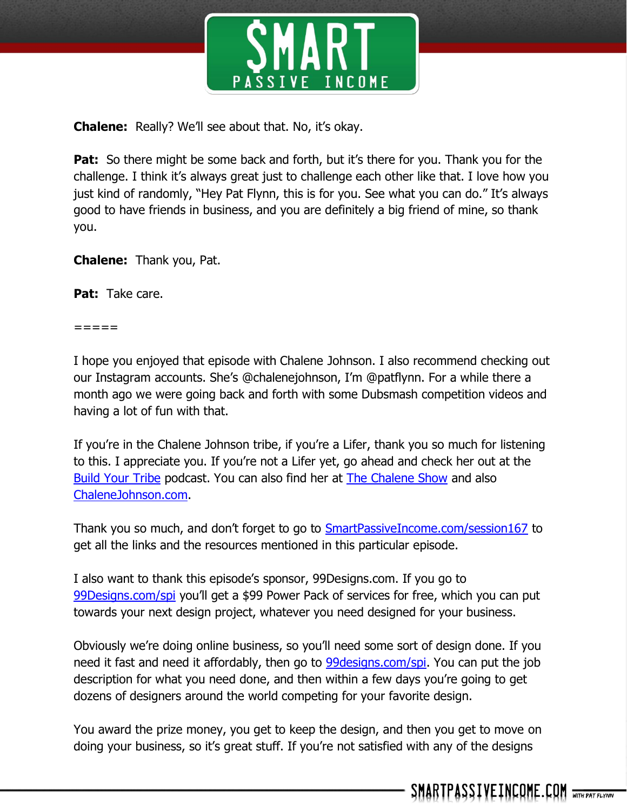

**Chalene:** Really? We'll see about that. No, it's okay.

Pat: So there might be some back and forth, but it's there for you. Thank you for the challenge. I think it's always great just to challenge each other like that. I love how you just kind of randomly, "Hey Pat Flynn, this is for you. See what you can do." It's always good to have friends in business, and you are definitely a big friend of mine, so thank you.

**Chalene:** Thank you, Pat.

**Pat:** Take care.

 $=$   $=$   $=$   $=$ 

I hope you enjoyed that episode with Chalene Johnson. I also recommend checking out our Instagram accounts. She's @chalenejohnson, I'm @patflynn. For a while there a month ago we were going back and forth with some Dubsmash competition videos and having a lot of fun with that.

If you're in the Chalene Johnson tribe, if you're a Lifer, thank you so much for listening to this. I appreciate you. If you're not a Lifer yet, go ahead and check her out at the [Build Your Tribe](https://itunes.apple.com/us/podcast/build-your-tribe-creating/id910990031?mt=2) podcast. You can also find her at **The Chalene Show** and also [ChaleneJohnson.com.](http://www.chalenejohnson.com/)

Thank you so much, and don't forget to go to **[SmartPassiveIncome.com/session167](http://www.smartpassiveincome.com/session167)** to get all the links and the resources mentioned in this particular episode.

I also want to thank this episode's sponsor, 99Designs.com. If you go to [99Designs.com/spi](http://99designs.com/spi) you'll get a \$99 Power Pack of services for free, which you can put towards your next design project, whatever you need designed for your business.

Obviously we're doing online business, so you'll need some sort of design done. If you need it fast and need it affordably, then go to **99designs.com/spi**. You can put the job description for what you need done, and then within a few days you're going to get dozens of designers around the world competing for your favorite design.

You award the prize money, you get to keep the design, and then you get to move on doing your business, so it's great stuff. If you're not satisfied with any of the designs